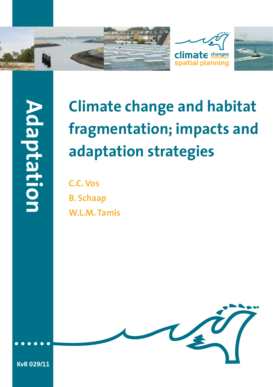



# **Climate change and habitat fragmentation; impacts and adaptation strategies**

**C.C. Vos B. Schaap W.L.M. Tamis**

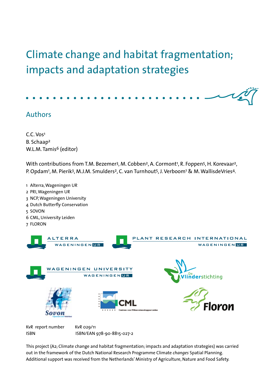# Climate change and habitat fragmentation; impacts and adaptation strategies

Authors

C.C. Vos1 B. Schaap2 W.L.M. Tamis<sup>6</sup> (editor)

With contributions from T.M. Bezemer<sup>3</sup>, M. Cobben<sup>2</sup>, A. Cormont<sup>1</sup>, R. Foppen<sup>5</sup>, H. Korevaar<sup>2</sup>, P. Opdam<sup>1</sup>, M. Pierik<sup>3</sup>, M.J.M. Smulders<sup>2</sup>, C. van Turnhout<sup>5</sup>, J. Verboom<sup>1</sup> & M. WallisdeVries4.

1 Alterra, Wageningen UR 2 PRI, Wageningen UR 3 NCP, Wageningen University 4 Dutch Butterfly Conservation 5 SOVON 6 CML, University Leiden 7 FLORON



ISBN ISBN/EAN 978-90-8815-027-2

This project (A2; Climate change and habitat fragmentation; impacts and adaptation strategies) was carried out in the framework of the Dutch National Research Programme Climate *changes* Spatial Planning. Additional support was received from the Netherlands' Ministry of Agriculture, Nature and Food Safety.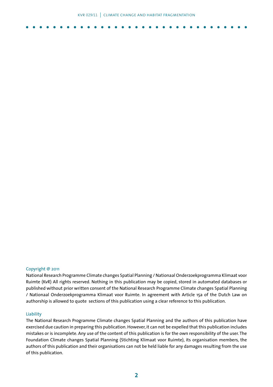#### Copyright @ 2011

National Research Programme Climate changes Spatial Planning / Nationaal Onderzoekprogramma Klimaat voor Ruimte (KvR) All rights reserved. Nothing in this publication may be copied, stored in automated databases or published without prior written consent of the National Research Programme Climate changes Spatial Planning / Nationaal Onderzoekprogramma Klimaat voor Ruimte. In agreement with Article 15a of the Dutch Law on authorship is allowed to quote sections of this publication using a clear reference to this publication.

#### Liability

The National Research Programme Climate changes Spatial Planning and the authors of this publication have exercised due caution in preparing this publication. However, it can not be expelled that this publication includes mistakes or is incomplete. Any use of the content of this publication is for the own responsibility of the user. The Foundation Climate changes Spatial Planning (Stichting Klimaat voor Ruimte), its organisation members, the authors of this publication and their organisations can not be held liable for any damages resulting from the use of this publication.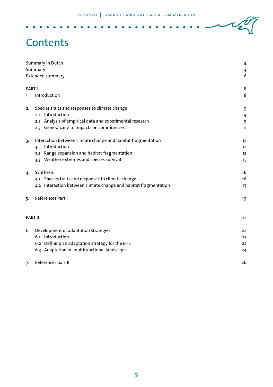τ

# **Contents**

| Summary in Dutch | 4                                                                |    |
|------------------|------------------------------------------------------------------|----|
| Summary          | 4                                                                |    |
| Extended summary | 6                                                                |    |
| PART I           |                                                                  | 8  |
| 1.               | Introduction                                                     | 8  |
| 2.               | Species traits and responses to climate change                   | 9  |
|                  | 2.1 Introduction                                                 | 9  |
|                  | 2.2 Analysis of empirical data and experimental research         | 9  |
|                  | 2.3 Generalizing to impacts on communities.                      | 11 |
| 3.               | Interaction between climate change and habitat fragmentation     | 12 |
|                  | Introduction<br>3.1                                              | 12 |
|                  | 3.2 Range expansion and habitat fragmentation                    | 12 |
|                  | 3.3 Weather extremes and species survival                        | 15 |
| 4.               | Synthesis                                                        | 16 |
|                  | 4.1 Species traits and responses to climate change               | 16 |
|                  | 4.2 Interaction between climate change and habitat fragmentation | 17 |
| 5.               | References Part I                                                | 19 |
| <b>PART II</b>   | 22                                                               |    |
| 6.               | Development of adaptation strategies                             | 22 |
|                  | 6.1 Introduction                                                 | 22 |
|                  | 6.2 Defining an adaptation strategy for the EHS                  | 22 |
|                  | 6.3 Adaptation in multifunctional landscapes                     | 24 |
| 7.               | References part II                                               | 26 |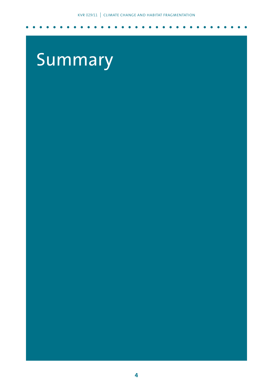# Summary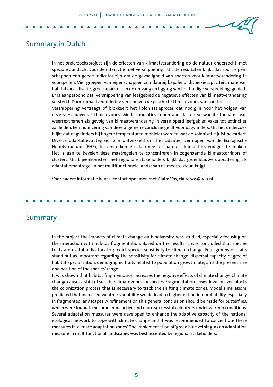# Summary in Dutch

In het onderzoeksproject zijn de effecten van klimaatverandering op de natuur onderzocht, met speciale aandacht voor de interactie met versnippering. Uit de resultaten blijkt dat soort eigenschappen een goede indicator zijn om de gevoeligheid van soorten voor klimaatverandering te voorspellen. Vier groepen van eigenschappen zijn daarbij bepalend: dispersiecapaciteit, mate van habitatspecialisatie, groeicapaciteit en de omvang en ligging van het huidige verspreidingsgebied. Er is aangetoond dat versnippering van leefgebied de negatieve effecten van klimaatverandering versterkt. Door klimaatverandering verschuiven de geschikte klimaatzones van soorten.

Versnippering vertraagt of blokkeert het kolonisatieproces dat nodig is voor het volgen van deze verschuivende klimaatzones. Modelsimulaties tonen aan dat de verwachte toename van weersextremen als gevolg van klimaatverandering in versnipperd leefgebied vaker tot extincties zal leiden. Een nuancering van deze algemene conclusie geldt voor dagvlinders. Uit het onderzoek blijkt dat dagvlinders bij hogere temperaturen mobieler worden wat de kolonisatie juist bevordert. Diverse adaptatiestrategieën zijn ontwikkeld om het adaptief vermogen van de Ecologische Hoofdstructuur (EHS), te versterken en daarmee de natuur klimaatbestendiger te maken. Het is aan te bevelen deze maatregelen te concentreren in zogenaamde klimaatcorridors of clusters. Uit bijeenkomsten met regionale stakeholders blijkt dat groenblauwe dooradering als adaptatiemaatregel in het multifunctionele landschap de meeste steun krijgt.

Voor nadere informatie kunt u contact opnemen met Claire Vos, claire.vos@wur.nl.

# Summary

In the project the impacts of climate change on biodiversity, was studied, especially focusing on the interaction with habitat fragmentation. Based on the results it was concluded that species traits are useful indicators to predict species sensitivity to climate change. Four groups of traits stand out as important regarding the sensitivity for climate change: dispersal capacity, degree of habitat specialization, demographic traits related to population growth rate, and the present size and position of the species' range.

It was shown that habitat fragmentation increases the negative effects of climate change. Climate change causes a shift of suitable climate zones for species. Fragmentation slows down or even blocks the colonization process that is necessary to track the shifting climate zones. Model simulations predicted that increased weather variability would lead to higher extinction probability, especially in fragmented landscapes. A refinement on this general conclusion should be made for butterflies, which were found to become more active and more successful colonizers under warmer conditions. Several adaptation measures were developed to enhance the adaptive capacity of the national ecological network to cope with climate change and it was recommended to concentrate these measures in 'climate adaptation zones'. The implementation of 'green blue veining' as an adaptation measure in multifunctional landscapes was best accepted by regional stakeholders.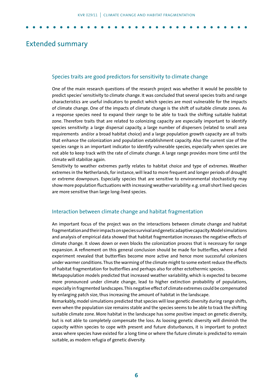# Extended summary

#### Species traits are good predictors for sensitivity to climate change

One of the main research questions of the research project was whether it would be possible to predict species' sensitivity to climate change. It was concluded that several species traits and range characteristics are useful indicators to predict which species are most vulnerable for the impacts of climate change. One of the impacts of climate change is the shift of suitable climate zones. As a response species need to expand their range to be able to track the shifting suitable habitat zone. Therefore traits that are related to colonizing capacity are especially important to identify species sensitivity: a large dispersal capacity, a large number of dispersers (related to small area requirements and/or a broad habitat choice) and a large population growth capacity are all traits that enhance the colonization and population establishment capacity. Also the current size of the species range is an important indicator to identify vulnerable species, especially when species are not able to keep track with the rate of climate change. A large range provides more time until the climate will stabilize again.

Sensitivity to weather extremes partly relates to habitat choice and type of extremes. Weather extremes in the Netherlands, for instance, will lead to more frequent and longer periods of drought or extreme downpours. Especially species that are sensitive to environmental stochasticity may show more population fluctuations with increasing weather variability: e.g. small short lived species are more sensitive than large long-lived species.

#### Interaction between climate change and habitat fragmentation

An important focus of the project was on the interactions between climate change and habitat fragmentation and their impacts on species survival and genetic adaptive capacity. Model simulations and analysis of empirical data showed that habitat fragmentation increases the negative effects of climate change. It slows down or even blocks the colonization process that is necessary for range expansion. A refinement on this general conclusion should be made for butterflies, where a field experiment revealed that butterflies become more active and hence more successful colonizers under warmer conditions. Thus the warming of the climate might to some extent reduce the effects of habitat fragmentation for butterflies and perhaps also for other ectothermic species.

Metapopulation models predicted that increased weather variability, which is expected to become more pronounced under climate change, lead to higher extinction probability of populations, especially in fragmented landscapes. This negative effect of climate extremes could be compensated by enlarging patch size, thus increasing the amount of habitat in the landscape.

Remarkably, model simulations predicted that species will lose genetic diversity during range shifts, even when the population size remains stable and the species seems to be able to track the shifting suitable climate zone. More habitat in the landscape has some positive impact on genetic diversity, but is not able to completely compensate the loss. As loosing genetic diversity will diminish the capacity within species to cope with present and future disturbances, it is important to protect areas where species have existed for a long time or where the future climate is predicted to remain suitable, as modern refugia of genetic diversity.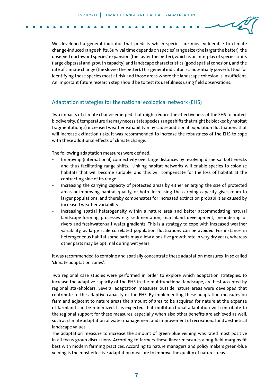We developed a general indicator that predicts which species are most vulnerable to climate change-induced range shifts. Survival time depends on species' range size (the larger the better), the observed northward species' expansion (the faster the better), which is an interplay of species traits (large dispersal and growth capacity) and landscape characteristics (good spatial cohesion), and the rate of climate change (the slower the better). This general indicator is a potentially powerful tool for identifying those species most at risk and those areas where the landscape cohesion is insufficient. An important future research step should be to test its usefulness using field observations.

#### Adaptation strategies for the national ecological network (EHS)

Two impacts of climate change emerged that might reduce the effectiveness of the EHS to protect biodiversity: 1) temperature rise may necessitate species' range shifts that might be blocked by habitat fragmentation; 2) increased weather variability may cause additional population fluctuations that will increase extinction risks. It was recommended to increase the robustness of the EHS to cope with these additional effects of climate change.

The following adaptation measures were defined:

- Improving (international) connectivity over large distances by resolving dispersal bottlenecks and thus facilitating range shifts. Linking habitat networks will enable species to colonize habitats that will become suitable, and this will compensate for the loss of habitat at the contracting side of its range.
- Increasing the carrying capacity of protected areas by either enlarging the size of protected areas or improving habitat quality, or both. Increasing the carrying capacity gives room to larger populations, and thereby compensates for increased extinction probabilities caused by increased weather variability.
- Increasing spatial heterogeneity within a nature area and better accommodating natural landscape-forming processes e.g. sedimentation, marshland development, meandering of rivers and freshwater-salt water gradients. This is a strategy to cope with increased weather variability, as large scale correlated population fluctuations can be avoided. For instance, in heterogeneous habitat some parts may allow a positive growth rate in very dry years, whereas other parts may be optimal during wet years.

It was recommended to combine and spatially concentrate these adaptation measures in so called 'climate adaptation zones'.

Two regional case studies were performed in order to explore which adaptation strategies, to increase the adaptive capacity of the EHS in the multifunctional landscape, are best accepted by regional stakeholders. Several adaptation measures outside nature areas were developed that contribute to the adaptive capacity of the EHS. By implementing these adaptation measures on farmland adjacent to nature areas the amount of area to be acquired for nature at the expense of farmland can be minimized. It is expected that multifunctional adaptation will contribute to the regional support for these measures, especially when also other benefits are achieved as well, such as climate adaptation of water management and improvement of recreational and aesthetical landscape values.

The adaptation measure to increase the amount of green-blue veining was rated most positive in all focus group discussions. According to farmers these linear measures along field margins fit best with modern farming practices. According to nature managers and policy makers green-blue veining is the most effective adaptation measure to improve the quality of nature areas.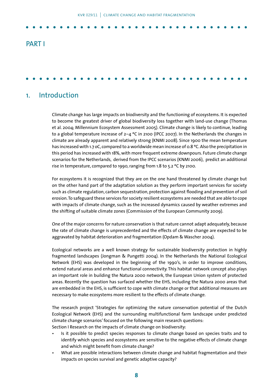## PART I

## 1. Introduction

Climate change has large impacts on biodiversity and the functioning of ecosystems. It is expected to become the greatest driver of global biodiversity loss together with land-use change (Thomas et al. 2004; Millennium Ecosystem Assessment 2005). Climate change is likely to continue, leading to a global temperature increase of 2–4 ºC in 2100 (IPCC 2007). In the Netherlands the changes in climate are already apparent and relatively strong (KNMI 2008). Since 1900 the mean temperature has increased with 1.7 oC, compared to a worldwide mean increase of 0.8 °C. Also the precipitation in this period has increased with 18%, with more frequent extreme downpours. Future climate change scenarios for the Netherlands, derived from the IPCC scenarios (KNMI 2006), predict an additional rise in temperature, compared to 1990, ranging from 1.8 to 5.2 ºC by 2100.

For ecosystems it is recognized that they are on the one hand threatened by climate change but on the other hand part of the adaptation solution as they perform important services for society such as climate regulation, carbon sequestration, protection against flooding and prevention of soil erosion. To safeguard these services for society resilient ecosystems are needed that are able to cope with impacts of climate change, such as the increased dynamics caused by weather extremes and the shifting of suitable climate zones (Commission of the European Community 2009).

One of the major concerns for nature conservation is that nature cannot adapt adequately, because the rate of climate change is unprecedented and the effects of climate change are expected to be aggravated by habitat deterioration and fragmentation (Opdam & Wascher 2004).

Ecological networks are a well known strategy for sustainable biodiversity protection in highly fragmented landscapes (Jongman & Pungetti 2004). In the Netherlands the National Ecological Network (EHS) was developed in the beginning of the 1990's, in order to improve conditions, extend natural areas and enhance functional connectivity. This habitat network concept also plays an important role in building the Natura 2000 network, the European Union system of protected areas. Recently the question has surfaced whether the EHS, including the Natura 2000 areas that are embedded in the EHS, is sufficient to cope with climate change or that additional measures are necessary to make ecosystems more resilient to the effects of climate change.

The research project 'Strategies for optimizing the nature conservation potential of the Dutch Ecological Network (EHS) and the surrounding multifunctional farm landscape under predicted climate change scenarios' focused on the following main research questions: Section I Research on the impacts of climate change on biodiversity:

- Is it possible to predict species responses to climate change based on species traits and to identify which species and ecosystems are sensitive to the negative effects of climate change and which might benefit from climate change?
- What are possible interactions between climate change and habitat fragmentation and their impacts on species survival and genetic adaptive capacity?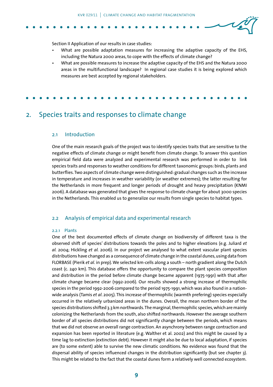Section II Application of our results in case studies:

- What are possible adaptation measures for increasing the adaptive capacity of the EHS, including the Natura 2000 areas, to cope with the effects of climate change?
- What are possible measures to increase the adaptive capacity of the EHS and the Natura 2000 areas in the multifunctional landscape? In regional case studies it is being explored which measures are best accepted by regional stakeholders.

# 2. Species traits and responses to climate change

#### 2.1 Introduction

One of the main research goals of the project was to identify species traits that are sensitive to the negative effects of climate change or might benefit from climate change. To answer this question empirical field data were analyzed and experimental research was performed in order to link species traits and responses to weather conditions for different taxonomic groups: birds, plants and butterflies. Two aspects of climate change were distinguished: gradual changes such as the increase in temperature and increases in weather variability (or weather extremes); the latter resulting for the Netherlands in more frequent and longer periods of drought and heavy precipitation (KNMI 2006). A database was generated that gives the response to climate change for about 3000 species in the Netherlands. This enabled us to generalize our results from single species to habitat types.

#### 2.2 Analysis of empirical data and experimental research

#### 2.2.1 Plants

One of the best documented effects of climate change on biodiversity of different taxa is the observed shift of species' distributions towards the poles and to higher elevations (e.g. Juliard *et al.* 2004; Hickling *et al.* 2006). In our project we analysed to what extent vascular plant species distributions have changed as a consequence of climate change in the coastal dunes, using data from FLORBASE (Pierik *et al.* in prep). We selected km-cells along a south – north gradient along the Dutch coast (c. 240 km). This database offers the opportunity to compare the plant species composition and distribution in the period before climate change became apparent (1975-1991) with that after climate change became clear (1992-2006). Our results showed a strong increase of thermophilic species in the period 1992-2006 compared to the period 1975-1991, which was also found in a nationwide analysis (Tamis *et al*. 2005). This increase of thermophilic (warmth prefering) species especially occurred in the relatively urbanized areas in the dunes. Overall, the mean northern border of the species distributions shifted 3.3 km northwards. The marginal, thermophilic species, which are mainly colonizing the Netherlands from the south, also shifted northwards. However the average southern border of all species distributions did not significantly change between the periods, which means that we did not observe an overall range contraction. An asynchrony between range contraction and expansion has been reported in literature (e.g. Walther et al. 2002) and this might be caused by a time lag to extinction (extinction debt). However it might also be due to local adaptation, if species are (to some extent) able to survive the new climatic conditions. No evidence was found that the dispersal ability of species influenced changes in the distribution significantly (but see chapter 3). This might be related to the fact that the coastal dunes form a relatively well connected ecosystem.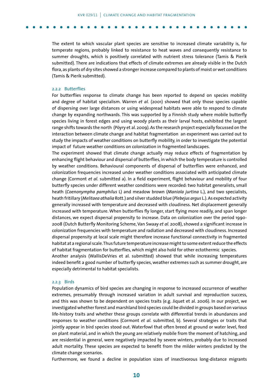The extent to which vascular plant species are sensitive to increased climate variability is, for temperate regions, probably linked to resistance to heat waves and consequently resistance to summer droughts, which is positively correlated with nutrient stress tolerance (Tamis & Pierik submitted). There are indications that effects of climate extremes are already visible in the Dutch flora, as plants of dry sites showed a stronger increase compared to plants of moist or wet conditions (Tamis & Pierik submitted).

#### 2.2.2 Butterflies

For butterflies response to climate change has been reported to depend on species mobility and degree of habitat specialism. Warren *et al.* (2001) showed that only those species capable of dispersing over large distances or using widespread habitats were able to respond to climate change by expanding northwards. This was supported by a Finnish study where mobile butterfly species living in forest edges and using woody plants as their larval hosts, exhibited the largest range shifts towards the north (Pöyry et al. 2009). As the research project especially focussed on the interaction between climate change and habitat fragmentation an experiment was carried out to study the impacts of weather conditions on butterfly mobility, in order to investigate the potential impact of future weather conditions on colonization in fragmented landscapes.

The experiment showed that climate change actually may reduce effects of fragmentation by enhancing flight behaviour and dispersal of butterflies, in which the body temperature is controlled by weather conditions. Behavioural components of dispersal of butterflies were enhanced, and colonization frequencies increased under weather conditions associated with anticipated climate change (Cormont *et al.* submitted a). In a field experiment, flight behaviour and mobility of four butterfly species under different weather conditions were recorded: two habitat generalists, small heath (*Coenonympha pamphilus* L) and meadow brown (*Maniola jurtina* L.), and two specialists, heath fritillary (*Melitaea athalia* Rott.) and silver studded blue (*Plebejus argus* L.). As expected activity generally increased with temperature and decreased with cloudiness. Net displacement generally increased with temperature. When butterflies fly longer, start flying more readily, and span longer distances, we expect dispersal propensity to increase. Data on colonization over the period 1990- 2008 (Dutch Butterfly Monitoring Scheme, Van Swaay *et al.* 2008), showed a significant increase in colonization frequencies with temperature and radiation and decreased with cloudiness. Increased dispersal propensity at local scale might therefore increase functional connectivity in fragmented habitat at a regional scale. Thus future temperature increase might to some extent reduce the effects of habitat fragmentation for butterflies, which might also hold for other ectothermic species.

Another analysis (WallisDeVries et al. submitted) showed that while increasing temperatures indeed benefit a good number of butterfly species, weather extremes such as summer drought, are especially detrimental to habitat specialists.

#### 2.2.3 Birds

Population dynamics of bird species are changing in response to increased occurrence of weather extremes, presumably through increased variation in adult survival and reproduction success, and this was shown to be dependent on species traits (e.g. Jiquet et al. 2006). In our project, we investigated whether forest and marshland bird species could be divided in groups based on various life-history traits and whether these groups correlate with differential trends in abundances and responses to weather conditions (Cormont *et al.* submitted, b). Several strategies or traits that jointly appear in bird species stood out. Waterfowl that often breed at ground or water level, feed on plant material, and in which the young are relatively mobile from the moment of hatching, and are residential in general, were negatively impacted by severe winters, probably due to increased adult mortality. These species are expected to benefit from the milder winters predicted by the climate change scenarios.

Furthermore, we found a decline in population sizes of insectivorous long-distance migrants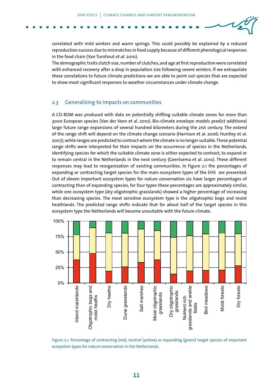correlated with mild winters and warm springs. This could possibly be explained by a reduced reproduction success due to mismatches in food supply because of different phenological responses in the food chain (Van Turnhout *et al.* 2010).

The demographic traits clutch size, number of clutches, and age at first reproduction were correlated with enhanced recovery after a drop in population size following severe winters. If we extrapolate these correlations to future climate predictions we are able to point out species that are expected to show most significant responses to weather circumstances under climate change.

#### 2.3 Generalizing to impacts on communities

A CD-ROM was produced with data on potentially shifting suitable climate zones for more than 3000 European species (Van der Veen et al. 2010). Bio-climate envelope models predict additional large future range expansions of several hundred kilometers during the 21st century. The extend of the range shift will depend on the climate change scenario (Harrison et al. 2006; Huntley et al. 2007), while ranges are predicted to contract where the climate is no longer suitable. These potential range shifts were interpreted for their impacts on the occurrence of species in the Netherlands, identifying species for which the suitable climate zone is either expected to contract, to expand or to remain central in the Netherlands in the next century (Geertsema et al. 2010). These different responses may lead to reorganization of existing communities. In Figure 2.1 the percentages of expanding or contracting target species for the main ecosystem types of the EHS are presented. Out of eleven important ecosystem types for nature conservation six have larger percentages of contracting than of expanding species, for four types these percentages are approximately similar, while one ecosystem type (dry oligotrophic grasslands) showed a higher percentage of increasing than decreasing species. The most sensitive ecosystem type is the oligotrophic bogs and moist heathlands. The predicted range shifts indicate that for about half of the target species in this ecosystem type the Netherlands will become unsuitable with the future climate.



Figure 2.1. Percentage of contracting (red), neutral (yellow) or expanding (green) target species of important ecosystem types for nature conservation in the Netherlands.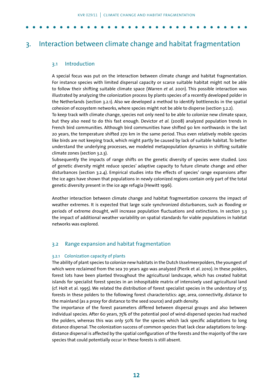# 3. Interaction between climate change and habitat fragmentation

#### 3.1 Introduction

A special focus was put on the interaction between climate change and habitat fragmentation. For instance species with limited dispersal capacity or scarce suitable habitat might not be able to follow their shifting suitable climate space (Warren *et al.* 2001). This possible interaction was illustrated by analyzing the colonization process by plants species of a recently developed polder in the Netherlands (section 3.2.1). Also we developed a method to identify bottlenecks in the spatial cohesion of ecosystem networks, where species might not be able to disperse (section 3.2.2).

To keep track with climate change, species not only need to be able to colonize new climate space, but they also need to do this fast enough. Devictor *et al.* (2008) analyzed population trends in French bird communities. Although bird communities have shifted 90 km northwards in the last 20 years, the temperature shifted 270 km in the same period. Thus even relatively mobile species like birds are not keeping track, which might partly be caused by lack of suitable habitat. To better understand the underlying processes, we modeled metapopulation dynamics in shifting suitable climate zones (section 3.2.3).

Subsequently the impacts of range shifts on the genetic diversity of species were studied. Loss of genetic diversity might reduce species' adaptive capacity to future climate change and other disturbances (section 3.2.4). Empirical studies into the effects of species' range expansions after the ice ages have shown that populations in newly colonized regions contain only part of the total genetic diversity present in the ice age refugia (Hewitt 1996).

Another interaction between climate change and habitat fragmentation concerns the impact of weather extremes. It is expected that large scale synchronized disturbances, such as flooding or periods of extreme drought, will increase population fluctuations and extinctions. In section 3.3 the impact of additional weather variability on spatial standards for viable populations in habitat networks was explored.

#### 3.2 Range expansion and habitat fragmentation

#### 3.2.1 Colonization capacity of plants

The ability of plant species to colonize new habitats in the Dutch IJsselmeerpolders, the youngest of which were reclaimed from the sea 70 years ago was analyzed (Pierik et al. 2010). In these polders, forest lots have been planted throughout the agricultural landscape, which has created habitat islands for specialist forest species in an inhospitable matrix of intensively used agricultural land (cf. Holt et al. 1995). We related the distribution of forest specialist species in the understory of 55 forests in these polders to the following forest characteristics: age, area, connectivity, distance to the mainland (as a proxy for distance to the seed source) and path density.

The importance of the forest parameters differed between dispersal groups and also between individual species. After 60 years, 75% of the potential pool of wind-dispersed species had reached the polders, whereas this was only 50% for the species which lack specific adaptations to long distance dispersal. The colonization success of common species that lack clear adaptations to longdistance dispersal is affected by the spatial configuration of the forests and the majority of the rare species that could potentially occur in these forests is still absent.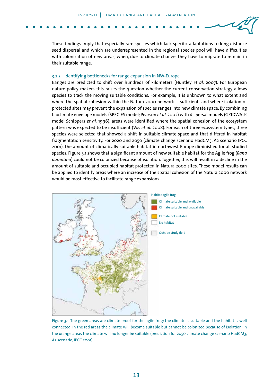These findings imply that especially rare species which lack specific adaptations to long distance seed dispersal and which are underrepresented in the regional species pool will have difficulties with colonization of new areas, when, due to climate change, they have to migrate to remain in their suitable range.

#### 3.2.2 Identifying bottlenecks for range expansion in NW-Europe

Ranges are predicted to shift over hundreds of kilometers (Huntley *et al.* 2007). For European nature policy makers this raises the question whether the current conservation strategy allows species to track the moving suitable conditions. For example, it is unknown to what extent and where the spatial cohesion within the Natura 2000 network is sufficient and where isolation of protected sites may prevent the expansion of species ranges into new climate space. By combining bioclimate envelope models (SPECIES model; Pearson *et al.* 2002) with dispersal models (GRIDWALK model Schippers *et al.* 1996), areas were identified where the spatial cohesion of the ecosystem pattern was expected to be insufficient (Vos *et al.* 2008). For each of three ecosystem types, three species were selected that showed a shift in suitable climate space and that differed in habitat fragmentation sensitivity. For 2020 and 2050 (climate change scenario HadCM3, A2 scenario IPCC 2001), the amount of climatically suitable habitat in northwest Europe diminished for all studied species. Figure 3.1 shows that a significant amount of new suitable habitat for the Agile frog (*Rana damatina*) could not be colonized because of isolation. Together, this will result in a decline in the amount of suitable and occupied habitat protected in Natura 2000 sites. These model results can be applied to identify areas where an increase of the spatial cohesion of the Natura 2000 network would be most effective to facilitate range expansions.



Figure 3.1. The green areas are climate proof for the agile frog: the climate is suitable and the habitat is well connected. In the red areas the climate will become suitable but cannot be colonized because of isolation. In the orange areas the climate will no longer be suitable (prediction for 2050 climate change scenario HadCM3, A2 scenario, IPCC 2001).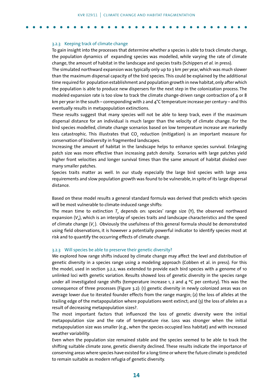#### 3.2.3 Keeping track of climate change

To gain insight into the processes that determine whether a species is able to track climate change, the population dynamics of expanding species was modelled, while varying the rate of climate change, the amount of habitat in the landscape and species traits (Schippers *et al.* in press).

The simulated northward expansion was typically only up to 3 km per year, which was much slower than the maximum dispersal capacity of the bird species. This could be explained by the additional time required for population establishment and population growth in new habitat, only after which the population is able to produce new dispersers for the next step in the colonization process. The modeled expansion rate is too slow to track the climate change-driven range contraction of  $\mu$  or 8 km per year in the south – corresponding with 2 and 4°C temperature increase per century – and this eventually results in metapopulation extinctions.

These results suggest that many species will not be able to keep track, even if the maximum dispersal distance for an individual is much larger than the velocity of climate change. For the bird species modelled, climate change scenarios based on low temperature increase are markedly less catastrophic. This illustrates that CO<sub>2</sub> reduction (mitigation) is an important measure for conservation of biodiversity in fragmented landscapes.

Increasing the amount of habitat in the landscape helps to enhance species survival. Enlarging patch size was more effective than increasing patch density. Scenarios with large patches yield higher front velocities and longer survival times than the same amount of habitat divided over many smaller patches.

Species traits matter as well. In our study especially the large bird species with large area requirements and slow population growth was found to be vulnerable, in spite of its large dispersal distance.

Based on these model results a general standard formula was derived that predicts which species will be most vulnerable to climate-induced range shifts:

The mean time to extinction  $T<sub>e</sub>$  depends on: species' range size  $(Y)$ , the observed northward expansion (*Va*), which is an interplay of species traits and landscape characteristics and the speed of climate change (*Vc* ). Obviously the usefulness of this general formula should be demonstrated using field observations, it is however a potentially powerful indicator to identify species most at risk and to quantify the occurring effects of climate change.

#### 3.2.3 Will species be able to preserve their genetic diversity?

We explored how range shifts induced by climate change may affect the level and distribution of genetic diversity in a species range using a modeling approach (Cobben et al. in press). For this the model, used in section 3.2.2, was extended to provide each bird species with a genome of 10 unlinked loci with genetic variation. Results showed loss of genetic diversity in the species range under all investigated range shifts (temperature increase 1, 2 and  $4^{\circ}$ C per century). This was the consequence of three processes (Figure 3.2): (1) genetic diversity in newly colonized areas was on average lower due to iterated founder effects from the range margin; (2) the loss of alleles at the trailing edge of the metapopulation where populations went extinct; and (3) the loss of alleles as a result of decreasing metapopulation sizes?.

The most important factors that influenced the loss of genetic diversity were the initial metapopulation size and the rate of temperature rise. Loss was stronger when the initial metapopulation size was smaller (e.g., when the species occupied less habitat) and with increased weather variability.

Even when the population size remained stable and the species seemed to be able to track the shifting suitable climate zone, genetic diversity declined. These results indicate the importance of conserving areas where species have existed for a long time or where the future climate is predicted to remain suitable as modern refugia of genetic diversity.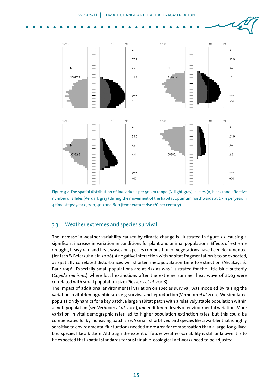

Figure 3.2. The spatial distribution of individuals per 50 km range (N, light gray), alleles (A, black) and effective number of alleles (Ae, dark grey) during the movement of the habitat optimum northwards at 2 km per year, in 4 time steps: year 0, 200, 400 and 600 (temperature rise 1ºC per century).

#### 3.3 Weather extremes and species survival

The increase in weather variability caused by climate change is illustrated in figure 3.3, causing a significant increase in variation in conditions for plant and animal populations. Effects of extreme drought, heavy rain and heat waves on species composition of vegetations have been documented (Jentsch & Beierkuhnlein 2008). A negative interaction with habitat fragmentation is to be expected, as spatially correlated disturbances will shorten metapopulation time to extinction (Akcakaya & Baur 1996). Especially small populations are at risk as was illustrated for the little blue butterfly (*Cupido minimus*) where local extinctions after the extreme summer heat wave of 2003 were correlated with small population size (Piessens *et al.* 2008).

The impact of additional environmental variation on species survival, was modeled by raising the variation in vital demographic rates e.g. survival and reproduction (Verboom *et al.* 2010). We simulated population dynamics for a key patch, a large habitat patch with a relatively stable population within a metapopulation (see Verboom *et al.* 2001), under different levels of environmental variation. More variation in vital demographic rates led to higher population extinction rates, but this could be compensated for by increasing patch size. A small, short-lived bird species like a warbler that is highly sensitive to environmental fluctuations needed more area for compensation than a large, long-lived bird species like a bittern. Although the extent of future weather variability is still unknown it is to be expected that spatial standards for sustainable ecological networks need to be adjusted.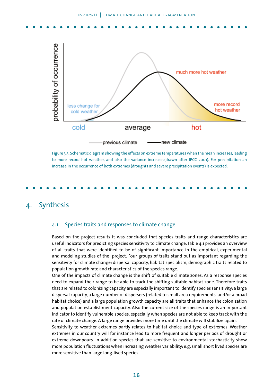

Figure 3.3. Schematic diagram showing the effects on extreme temperatures when the mean increases, leading to more record hot weather, and also the variance increases(drawn after IPCC 2001). For precipitation an increase in the occurrence of both extremes (droughts and severe precipitation events) is expected.

# 4. Synthesis

#### 4.1 Species traits and responses to climate change

Based on the project results it was concluded that species traits and range characteristics are useful indicators for predicting species sensitivity to climate change. Table 4.1 provides an overview of all traits that were identified to be of significant importance in the empirical, experimental and modeling studies of the project. Four groups of traits stand out as important regarding the sensitivity for climate change: dispersal capacity, habitat specialism, demographic traits related to population growth rate and characteristics of the species range.

One of the impacts of climate change is the shift of suitable climate zones. As a response species need to expand their range to be able to track the shifting suitable habitat zone. Therefore traits that are related to colonizing capacity are especially important to identify species sensitivity: a large dispersal capacity, a large number of dispersers (related to small area requirements and/or a broad habitat choice) and a large population growth capacity are all traits that enhance the colonization and population establishment capacity. Also the current size of the species range is an important indicator to identify vulnerable species, especially when species are not able to keep track with the rate of climate change. A large range provides more time until the climate will stabilize again.

Sensitivity to weather extremes partly relates to habitat choice and type of extremes. Weather extremes in our country will for instance lead to more frequent and longer periods of drought or extreme downpours. In addition species that are sensitive to environmental stochasticity show more population fluctuations when increasing weather variability: e.g. small short lived species are more sensitive than large long-lived species.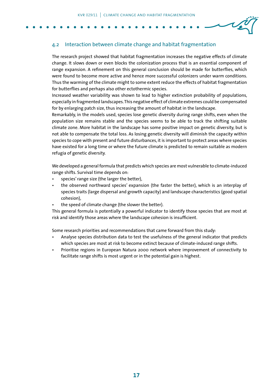4.2 Interaction between climate change and habitat fragmentation

The research project showed that habitat fragmentation increases the negative effects of climate change. It slows down or even blocks the colonization process that is an essential component of range expansion. A refinement on this general conclusion should be made for butterflies, which were found to become more active and hence more successful colonizers under warm conditions. Thus the warming of the climate might to some extent reduce the effects of habitat fragmentation for butterflies and perhaps also other ectothermic species.

Increased weather variability was shown to lead to higher extinction probability of populations, especially in fragmented landscapes. This negative effect of climate extremes could be compensated for by enlarging patch size, thus increasing the amount of habitat in the landscape.

Remarkably, in the models used, species lose genetic diversity during range shifts, even when the population size remains stable and the species seems to be able to track the shifting suitable climate zone. More habitat in the landscape has some positive impact on genetic diversity, but is not able to compensate the total loss. As losing genetic diversity will diminish the capacity within species to cope with present and future disturbances, it is important to protect areas where species have existed for a long time or where the future climate is predicted to remain suitable as modern refugia of genetic diversity.

We developed a general formula that predicts which species are most vulnerable to climate-induced range shifts. Survival time depends on:

- species' range size (the larger the better),
- the observed northward species' expansion (the faster the better), which is an interplay of species traits (large dispersal and growth capacity) and landscape characteristics (good spatial cohesion),
- the speed of climate change (the slower the better).

This general formula is potentially a powerful indicator to identify those species that are most at risk and identify those areas where the landscape cohesion is insufficient.

Some research priorities and recommendations that came forward from this study:

- Analyse species distribution data to test the usefulness of the general indicator that predicts which species are most at risk to become extinct because of climate-induced range shifts.
- Prioritise regions in European Natura 2000 network where improvement of connectivity to facilitate range shifts is most urgent or in the potential gain is highest.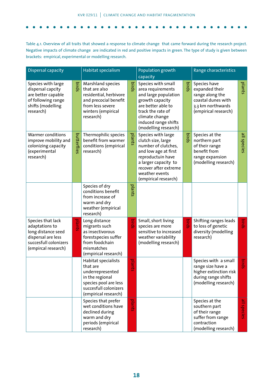Table 4.1. Overview of all traits that showed a response to climate change that came forward during the research project. Negative impacts of climate change are indicated in red and positive impacts in green. The type of study is given between

brackets: empirical, experimental or modelling research.

| <b>Dispersal capacity</b>                                                                                                       |             | Habitat specialism                                                                                                                               |               | Population growth<br>capacity                                                                                                                                                                           |       | Range characteristics                                                                                                |             |
|---------------------------------------------------------------------------------------------------------------------------------|-------------|--------------------------------------------------------------------------------------------------------------------------------------------------|---------------|---------------------------------------------------------------------------------------------------------------------------------------------------------------------------------------------------------|-------|----------------------------------------------------------------------------------------------------------------------|-------------|
| Species with large<br>dispersal capcity<br>are better capable<br>of following range<br>shifts (modelling<br>research)           | birds       | Marshland species<br>that are also<br>residential, herbivore<br>and precocial benefit<br>from less severe<br>winters (empirical<br>research)     | birds         | Species with small<br>area requirements<br>and large population<br>growth capacity<br>are better able to<br>track the rate of<br>climate change<br>induced range shifts<br>(modelling research)         | birds | Species have<br>expanded their<br>range along the<br>coastal dunes with<br>3.3 km northwards<br>(empirical research) | plants      |
| <b>Warmer conditions</b><br>improve mobility and<br>colonizing capacity<br>(experimental<br>research)                           | butterflies | Thermophilic species<br>benefit from warmer<br>conditions (empirical<br>research)                                                                | plants        | Species with large<br>clutch size, large<br>number of clutches,<br>and low age at first<br>reproductuin have<br>a larger capacity to<br>recover after extreme<br>weather events<br>(empirical research) | birds | Species at the<br>northern part<br>of their range<br>benefit from<br>range expansion<br>(modelling research)         | all species |
|                                                                                                                                 |             | Species of dry<br>conditions benefit<br>from increase of<br>warm and dry<br>weather (empirical<br>research)                                      | plants        |                                                                                                                                                                                                         |       |                                                                                                                      |             |
| Species that lack<br>adaptations to<br>long distance seed<br>dispersal are less<br>succesfull colonizers<br>(empircal research) | plants      | Long distance<br>migrants such<br>as insectivorous<br>forestspecies suffer<br>from foodchain<br>mismatches<br>(empirical research)               | birds         | Small, short living<br>species are more<br>sensitive to increased<br>weather variability<br>(modelling research)                                                                                        | birds | Shifting ranges leads<br>to loss of genetic<br>diversity (modelling<br>research)                                     | birds       |
|                                                                                                                                 |             | Habitat specialists<br>that are<br>underrepresented<br>in the regional<br>species pool are less<br>succesfull colonizers<br>(empirical research) | <b>Plants</b> |                                                                                                                                                                                                         |       | Species with a small<br>range size have a<br>higher extinction risk<br>during range shifts<br>(modelling research)   | birds       |
|                                                                                                                                 |             | Species that prefer<br>wet conditions have<br>declined during<br>warm and dry<br>periods (empirical<br>research)                                 | <b>Plants</b> |                                                                                                                                                                                                         |       | Species at the<br>southern part<br>of their range<br>suffer from range<br>contraction<br>(modelling research)        | all species |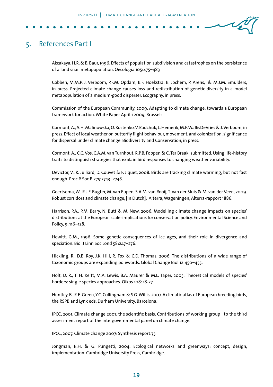# 5. References Part I

Akcakaya, H.R. & B. Baur, 1996. Effects of population subdivision and catastrophes on the persistence of a land snail metapopulation. Oecologia 105:475–483

Cobben, M.M.P, J. Verboom, P.F.M. Opdam, R.F. Hoekstra, R. Jochem, P. Arens, & M.J.M. Smulders, in press. Projected climate change causes loss and redistribution of genetic diversity in a model metapopulation of a medium-good disperser. Ecography, in press.

Commission of the European Community, 2009. Adapting to climate change: towards a European framework for action. White Paper April 1 2009, Brussels

Cormont, A., A.H. Malinowska, O. Kostenko, V. Radchuk, L. Hemerik, M.F. WallisDeVries & J. Verboom, in press. Effect of local weather on butterfly flight behaviour, movement, and colonization: significance for dispersal under climate change. Biodiversity and Conservation, in press.

Cormont, A., C.C. Vos, C.A.M. van Turnhout, R.P.B. Foppen & C. Ter Braak submitted. Using life-history traits to distinguish strategies that explain bird responses to changing weather variability.

Devictor, V., R. Julliard, D. Couvet & F. Jiquet, 2008. Birds are tracking climate warming, but not fast enough. Proc R Soc B 275:2743–2748.

Geertsema, W., R.J.F. Bugter, M. van Eupen, S.A.M. van Rooij, T. van der Sluis & M. van der Veen, 2009. Robust corridors and climate change, [In Dutch], Alterra, Wageningen, Alterra-rapport 1886.

Harrison, P.A., P.M. Berry, N. Butt & M. New, 2006. Modelling climate change impacts on species' distributions at the European scale: implications for conservation policy. Environmental Science and Policy, 9, 116–128.

Hewitt, G.M., 1996. Some genetic consequences of ice ages, and their role in divergence and speciation. Biol J Linn Soc Lond 58:247–276.

Hickling, R., D.B. Roy, J.K. Hill, R. Fox & C.D. Thomas, 2006. The distributions of a wide range of taxonomic groups are expanding polewards. Global Change Biol 12:450–455.

Holt, D. R., T. H. Keitt, M.A. Lewis, B.A. Maurer & M.L. Taper, 2005. Theoretical models of species' borders: single species approaches. Oikos 108: 18-27.

Huntley, B., R.E. Green, Y.C. Collingham & S.G. Willis, 2007. A climatic atlas of European breeding birds, the RSPB and Lynx eds. Durham University, Barcelona.

IPCC, 2001. Climate change 2001: the scientific basis. Contributions of working group I to the third assessment report of the intergovernmental panel on climate change.

IPCC, 2007. Climate change 2007: Synthesis report.73

Jongman, R.H. & G. Pungetti, 2004. Ecological networks and greenways: concept, design, implementation. Cambridge University Press, Cambridge.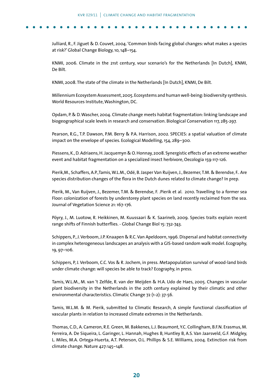Julliard, R., F. Jiguet & D. Couvet, 2004. 'Common birds facing global changes: what makes a species at risk?' Global Change Biology, 10, 148–154.

KNMI, 2006. Climate in the 21st century, vour scenario's for the Netherlands [In Dutch], KNMI, De Bilt.

KNMI, 2008. The state of the climate in the Netherlands [In Dutch], KNMI, De Bilt.

Millennium Ecosystem Assessment, 2005. Ecosystems and human well-being: biodiversity synthesis. World Resources Institute, Washington, DC.

Opdam, P. & D. Wascher, 2004. Climate change meets habitat fragmentation: linking landscape and biogeographical scale levels in research and conservation. Biological Conservation 117, 285-297.

Pearson, R.G., T.P. Dawson, P.M. Berry & P.A. Harrison, 2002. SPECIES: a spatial valuation of climate impact on the envelope of species. Ecological Modelling, 154, 289–300.

Piessens, K., D. Adriaens, H. Jacquemyn & O. Honnay, 2008. Synergistic effects of an extreme weather event and habitat fragmentation on a specialized insect herbivore, Oecologia 159:117-126.

Pierik,M., Schaffers, A.P.,Tamis, W.L.M., Odé, B. Jasper Van Ruijven, J., Bezemer, T.M. & Berendse, F.. Are species distribution changes of the flora in the Dutch dunes related to climate change? In prep.

Pierik, M., Van Ruijven, J., Bezemer, T.M. & Berendse, F. .Pierik et al. 2010. Travelling to a former sea Floor: colonization of forests by understorey plant species on land recently reclaimed from the sea. Journal of Vegetation Science 21: 167-176.

Pöyry, J., M. Luotow, R. Heikkinen, M. Kuussaari & K. Saarineb, 2009. Species traits explain recent range shifts of Finnish butterflies. - Global Change Biol 15: 732-743.

Schippers, P., J. Verboom, J.P. Knaapen & R.C. Van Apeldoorn, 1996. Dispersal and habitat connectivity in complex heterogeneous landscapes an analysis with a GIS-based random walk model. Ecography, 19, 97–106.

Schippers, P, J. Verboom, C.C. Vos & R. Jochem, in press. Metapopulation survival of wood-land birds under climate change: will species be able to track? Ecography, in press.

Tamis, W.L.M., M. van 't Zelfde, R. van der Meijden & H.A. Udo de Haes, 2005. Changes in vascular plant biodiversity in the Netherlands in the 20th century explained by their climatic and other environmental characteristics. Climatic Change 72 (1-2): 37-56.

Tamis, W.L.M. & M. Pierik, submitted to Climatic Research, A simple functional classification of vascular plants in relation to increased climate extremes in the Netherlands.

Thomas, C.D., A. Cameron, R.E. Green, M. Bakkenes, L.J. Beaumont, Y.C. Collingham, B.F.N. Erasmus, M. Ferreira, A. De Siqueira, L. Garinger, L. Hannah, Hughes B, Huntley B, A.S. Van Jaarsveld, G.F. Midgley, L. Miles, M.A. Ortega-Huerta, A.T. Peterson, O.L. Phillips & S.E. Williams, 2004. Extinction risk from climate change. Nature 427:145–148.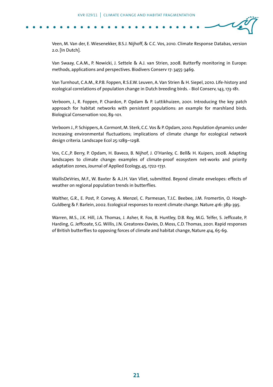Veen, M. Van der, E. Wiesenekker, B.S.J. Nijhoff, & C.C. Vos, 2010. Climate Response Databas, version 2.0. [In Dutch].

Van Swaay, C.A.M., P. Nowicki, J. Settele & A.J. van Strien, 2008. Butterfly monitoring in Europe: methods, applications and perspectives. Biodivers Conserv 17: 3455-3469.

Van Turnhout, C.A.M., R.P.B. Foppen, R.S.E.W. Leuven, A. Van Strien & H. Siepel, 2010. Life-history and ecological correlations of population change in Dutch breeding birds. - Biol Conserv, 143, 173-181.

Verboom, J., R. Foppen, P. Chardon, P. Opdam & P. Luttikhuizen, 2001. Introducing the key patch approach for habitat networks with persistent populations: an example for marshland birds. Biological Conservation 100, 89-101.

Verboom J., P. Schippers, A. Cormont, M. Sterk, C.C. Vos & P. Opdam, 2010. Population dynamics under increasing environmental fluctuations; implications of climate change for ecological network design criteria. Landscape Ecol 25:1289–1298.

Vos, C.C.,P. Berry, P. Opdam, H. Baveco, B. Nijhof, J. O'Hanley, C. Bell& H. Kuipers, 2008. Adapting landscapes to climate change: examples of climate-proof ecosystem net-works and priority adaptation zones, Journal of Applied Ecology, 45, 1722-1731.

WallisDeVries, M.F., W. Baxter & A.J.H. Van Vliet, submitted. Beyond climate envelopes: effects of weather on regional population trends in butterflies.

Walther, G.R., E. Post, P. Convey, A. Menzel, C. Parmesan, T.J.C. Beebee, J.M. Fromertin, O. Hoegh-Guldberg & F. Barlein, 2002. Ecological responses to recent climate change. Nature 416: 389-395.

Warren, M.S., J.K. Hill, J.A. Thomas, J. Asher, R. Fox, B. Huntley, D.B. Roy, M.G. Telfer, S. Jeffcoate, P. Harding, G. Jeffcoate, S.G. Willis, J.N. Greatorex-Davies, D. Moss, C.D. Thomas, 2001. Rapid responses of British butterflies to opposing forces of climate and habitat change, Nature 414, 65-69.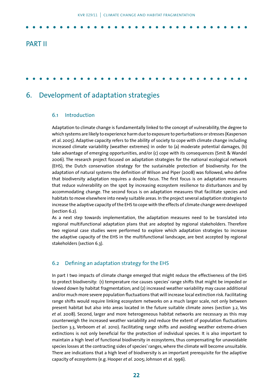## PART II

# 6. Development of adaptation strategies

#### 6.1 Introduction

Adaptation to climate change is fundamentally linked to the concept of vulnerability, the degree to which systems are likely to experience harm due to exposure to perturbations or stresses (Kasperson et al. 2005). Adaptive capacity refers to the ability of society to cope with climate change including increased climate variability (weather extremes) in order to (a) moderate potential damages, (b) take advantage of emerging opportunities, and/or (c) cope with its consequences (Smit & Wandel 2006). The research project focused on adaptation strategies for the national ecological network (EHS), the Dutch conservation strategy for the sustainable protection of biodiversity. For the adaptation of natural systems the definition of Wilson and Piper (2008) was followed, who define that biodiversity adaptation requires a double focus. The first focus is on adaptation measures that reduce vulnerability on the spot by increasing ecosystem resilience to disturbances and by accommodating change. The second focus is on adaptation measures that facilitate species and habitats to move elsewhere into newly suitable areas. In the project several adaptation strategies to increase the adaptive capacity of the EHS to cope with the effects of climate change were developed (section 6.2).

As a next step towards implementation, the adaptation measures need to be translated into regional multifunctional adaptation plans that are adopted by regional stakeholders. Therefore two regional case studies were performed to explore which adaptation strategies to increase the adaptive capacity of the EHS in the multifunctional landscape, are best accepted by regional stakeholders (section 6.3).

### 6.2 Defining an adaptation strategy for the EHS

In part I two impacts of climate change emerged that might reduce the effectiveness of the EHS to protect biodiversity: (1) temperature rise causes species' range shifts that might be impeded or slowed down by habitat fragmentation; and (2) increased weather variability may cause additional and/or much more severe population fluctuations that will increase local extinction risk. Facilitating range shifts would require linking ecosystem networks on a much larger scale, not only between present habitat but also into areas located in the future suitable climate zones (section 3.2, Vos *et al.* 2008). Second, larger and more heterogeneous habitat networks are necessary as this may counterweigh the increased weather variability and reduce the extent of population fluctuations (section 3.3, Verboom *et al.* 2010). Facilitating range shifts and avoiding weather extreme-driven extinctions is not only beneficial for the protection of individual species. It is also important to maintain a high level of functional biodiversity in ecosystems, thus compensating for unavoidable species losses at the contracting sides of species' ranges, where the climate will become unsuitable. There are indications that a high level of biodiversity is an important prerequisite for the adaptive capacity of ecosystems (e.g. Hooper *et al.* 2005; Johnson et al. 1996).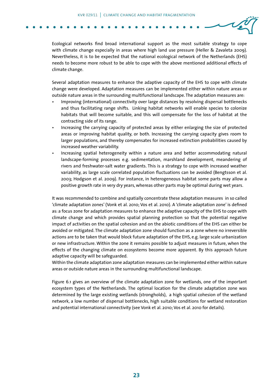Ecological networks find broad international support as the most suitable strategy to cope with climate change especially in areas where high land use pressure (Heller & Zavaleta 2009). Nevertheless, it is to be expected that the national ecological network of the Netherlands (EHS) needs to become more robust to be able to cope with the above mentioned additional effects of climate change.

Several adaptation measures to enhance the adaptive capacity of the EHS to cope with climate change were developed. Adaptation measures can be implemented either within nature areas or outside nature areas in the surrounding multifunctional landscape. The adaptation measures are:

- Improving (international) connectivity over large distances by resolving dispersal bottlenecks and thus facilitating range shifts. Linking habitat networks will enable species to colonize habitats that will become suitable, and this will compensate for the loss of habitat at the contracting side of its range.
- Increasing the carrying capacity of protected areas by either enlarging the size of protected areas or improving habitat quality, or both. Increasing the carrying capacity gives room to larger populations, and thereby compensates for increased extinction probabilities caused by increased weather variability.
- Increasing spatial heterogeneity within a nature area and better accommodating natural landscape-forming processes e.g. sedimentation, marshland development, meandering of rivers and freshwater-salt water gradients. This is a strategy to cope with increased weather variability, as large scale correlated population fluctuations can be avoided (Bengtsson et al. 2003; Hodgson et al. 2009). For instance, in heterogeneous habitat some parts may allow a positive growth rate in very dry years, whereas other parts may be optimal during wet years.

It was recommended to combine and spatially concentrate these adaptation measures in so called 'climate adaptation zones' (Vonk et al. 2010; Vos et al. 2010). A 'climate adaptation zone' is defined as: a focus zone for adaptation measures to enhance the adaptive capacity of the EHS to cope with climate change and which provides spatial planning protection so that the potential negative impact of activities on the spatial cohesion and on the abiotic conditions of the EHS can either be avoided or mitigated. The climate adaptation zone should function as a zone where no irreversible actions are to be taken that would block future adaptation of the EHS, e.g. large scale urbanization or new infrastructure. Within the zone it remains possible to adjust measures in future, when the effects of the changing climate on ecosystems become more apparent. By this approach future adaptive capacity will be safeguarded.

Within the climate adaptation zone adaptation measures can be implemented either within nature areas or outside nature areas in the surrounding multifunctional landscape.

Figure 6.1 gives an overview of the climate adaptation zone for wetlands, one of the important ecosystem types of the Netherlands. The optimal location for the climate adaptation zone was determined by the large existing wetlands (strongholds), a high spatial cohesion of the wetland network, a low number of dispersal bottlenecks, high suitable conditions for wetland restoration and potential international connectivity (see Vonk et al. 2010; Vos et al. 2010 for details).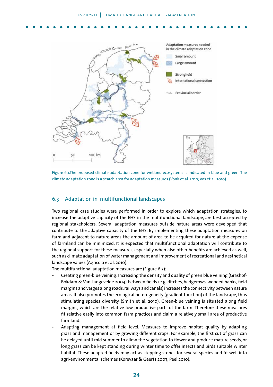

Figure 6.1.The proposed climate adaptation zone for wetland ecosystems is indicated in blue and green. The climate adaptation zone is a search area for adaptation measures (Vonk et al. 2010; Vos et al. 2010).

### 6.3 Adaptation in multifunctional landscapes

Two regional case studies were performed in order to explore which adaptation strategies, to increase the adaptive capacity of the EHS in the multifunctional landscape, are best accepted by regional stakeholders. Several adaptation measures outside nature areas were developed that contribute to the adaptive capacity of the EHS. By implementing these adaptation measures on farmland adjacent to nature areas the amount of area to be acquired for nature at the expense of farmland can be minimized. It is expected that multifunctional adaptation will contribute to the regional support for these measures, especially when also other benefits are achieved as well, such as climate adaptation of water management and improvement of recreational and aesthetical landscape values (Agricola et al. 2010).

The multifunctional adaptation measures are (Figure 6.2):

- Creating green-blue veining. Increasing the density and quality of green blue veining (Grashof-Bokdam & Van Langevelde 2004) between fields (e.g. ditches, hedgerows, wooded banks, field margins and verges along roads, railways and canals) increases the connectivity between nature areas. It also promotes the ecological heterogeneity (gradient function) of the landscape, thus stimulating species diversity (Smith et al. 2010). Green-blue veining is situated along field margins, which are the relative low productive parts of the farm. Therefore these measures fit relative easily into common farm practices and claim a relatively small area of productive farmland.
- Adapting management at field level. Measures to improve habitat quality by adapting grassland management or by growing different crops. For example, the first cut of grass can be delayed until mid summer to allow the vegetation to flower and produce mature seeds, or long grass can be kept standing during winter time to offer insects and birds suitable winter habitat. These adapted fields may act as stepping stones for several species and fit well into agri-environmental schemes (Korevaar & Geerts 2007; Peel 2010).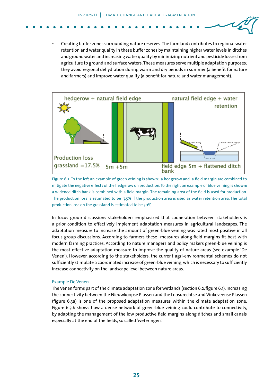• Creating buffer zones surrounding nature reserves. The farmland contributes to regional water retention and water quality in these buffer zones by maintaining higher water levels in ditches and ground water and increasing water quality by minimizing nutrient and pesticide losses from agriculture to ground and surface waters. These measures serve multiple adaptation purposes: they avoid regional dehydration during warm and dry periods in summer (a benefit for nature and farmers) and improve water quality (a benefit for nature and water management).



Figure 6.2. To the left an example of green veining is shown: a hedgerow and a field margin are combined to mitigate the negative effects of the hedgerow on production. To the right an example of blue veining is shown: a widened ditch bank is combined with a field margin. The remaining area of the field is used for production. The production loss is estimated to be 17.5% if the production area is used as water retention area. The total production loss on the grassland is estimated to be 50%.

In focus group discussions stakeholders emphasized that cooperation between stakeholders is a prior condition to effectively implement adaptation measures in agricultural landscapes. The adaptation measure to increase the amount of green-blue veining was rated most positive in all focus group discussions. According to farmers these measures along field margins fit best with modern farming practices. According to nature managers and policy makers green-blue veining is the most effective adaptation measure to improve the quality of nature areas (see example 'De Venen'). However, according to the stakeholders, the current agri-environmental schemes do not sufficiently stimulate a coordinated increase of green-blue veining, which is necessary to sufficiently increase connectivity on the landscape level between nature areas.

#### Example De Venen

The Venen forms part of the climate adaptation zone for wetlands (section 6.2, figure 6.1). Increasing the connectivity between the Nieuwkoopse Plassen and the Loosdrechtse and Vinkeveense Plassen (figure 6.3a) is one of the proposed adaptation measures within the climate adaptation zone. Figure 6.3.b shows how a dense network of green-blue veining could contribute to connectivity, by adapting the management of the low productive field margins along ditches and small canals especially at the end of the fields, so called 'weteringen'.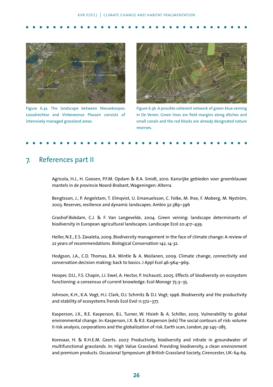

Figure 6.3a. The landscape between Nieuwkoopse, Loosdrechtse and Vinkeveense Plassen consists of intensively managed grassland areas.



Figure 6.3b. A possible coherent network of green-blue veining in De Venen. Green lines are field margins along ditches and small canals and the red blocks are already designated nature reserves.

# 7. References part II

Agricola, H.J., H. Goosen, P.F.M. Opdam & R.A. Smidt, 2010. Kansrijke gebieden voor groenblauwe mantels in de provincie Noord-Brabant, Wageningen: Alterra.

Bengtsson, J., P. Angelstam, T. Elmqvist, U. Emanuelsson, C. Folke, M. Ihse, F. Moberg, M. Nyström, 2003. Reserves, resilience and dynamic landscapes. Ambio 32:389–396

Grashof-Bokdam, C.J. & F. Van Langevelde, 2004. Green veining: landscape determinants of biodiversity in European agricultural landscapes. Landscape Ecol 20:417–439.

Heller, N.E., E.S. Zavaleta, 2009. Biodiversity management in the face of climate change: A review of 22 years of recommendations. Biological Conservation 142, 14-32.

Hodgson, J.A., C.D. Thomas, B.A. Wintle & A. Moilanen, 2009. Climate change, connectivity and conservation decision making: back to basics. J Appl Ecol 46:964–969.

Hooper, D.U., F.S. Chapin, J.J. Ewel, A. Hector, P. Inchausti, 2005. Effects of biodiversity on ecosystem functioning: a consensus of current knowledge. Ecol Monogr 75:3–35.

Johnson, K.H., K.A. Vogt, H.J. Clark, O.J. Schmitz & D.J. Vogt, 1996. Biodiversity and the productivity and stability of ecosystems.Trends Ecol Evol 11:372–377.

Kasperson, J.X., R.E. Kasperson, B.L. Turner, W. Hisieh & A. Schiller, 2005. Vulnerability to global environmental change. In: Kasperson, J.X. & R.E. Kasperson (eds) The social contours of risk: volume II risk analysis, corporations and the globalization of risk. Earth scan, London, pp 245–285.

Korevaar, H. & R.H.E.M. Geerts. 2007. Productivity, biodiversity and nitrate in groundwater of multifunctional grasslands. In: High Value Grassland. Providing biodiversity, a clean environment and premium products. Occasional Symposium 38 British Grassland Society, Cirencester, UK: 64-69.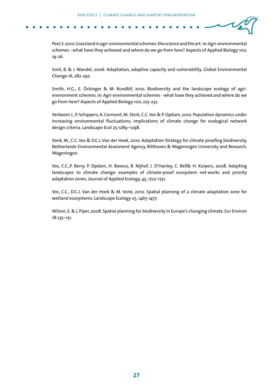Peel, S. 2010. Grassland in agri-environmental schemes-the science and the art. In: Agri-environmental schemes - what have they achieved and where do we go from here? Aspects of Applied Biology 100, 19-26.

Smit, B. & J. Wandel, 2006. Adaptation, adaptive capacity and vulnerability. Global Environmental Change 16, 282-292.

Smith, H.G., E. Öckinger & M. Rundlöf, 2010. Biodiversity and the landscape ecology of agrienvironment schemes. In: Agri-environmental schemes - what have they achieved and where do we go from here? Aspects of Applied Biology 100, 225-232.

Verboom J., P. Schippers, A. Cormont, M. Sterk, C.C. Vos & P. Opdam, 2010. Population dynamics under increasing environmental fluctuations; implications of climate change for ecological network design criteria. Landscape Ecol 25:1289–1298.

Vonk, M., C.C. Vos & D.C.J. Van der Hoek, 2010. Adaptation Strategy for climate proofing biodiversity, Netherlands Environmental Assesment Agency, Bilthoven & Wageningen University and Research, Wageningen.

Vos, C.C.,P. Berry, P. Opdam, H. Baveco, B. Nijhof, J. O'Hanley, C. Bell& H. Kuipers, 2008. Adapting landscapes to climate change: examples of climate-proof ecosystem net-works and priority adaptation zones, Journal of Applied Ecology, 45, 1722-1731.

Vos, C.C., D.C.J. Van der Hoek & M. Vonk, 2010. Spatial planning of a climate adaptation zone for wetland ecosystems. Landscape Ecology 25, 1465-1477.

Wilson, E. & J. Piper, 2008. Spatial planning for biodiversity in Europe's changing climate. Eur Environ 18:135–151.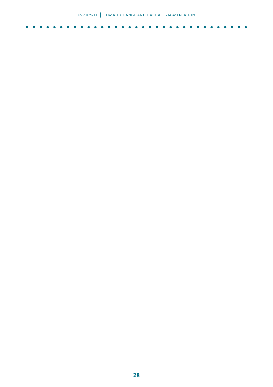$\overline{\phantom{a}}$